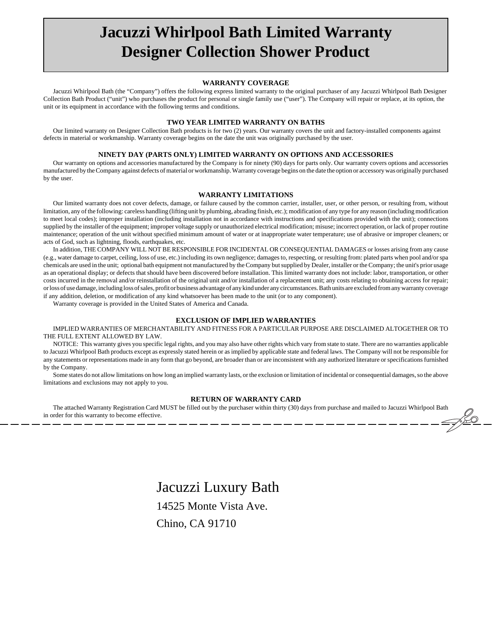# **Jacuzzi Whirlpool Bath Limited Warranty Designer Collection Shower Product**

### **WARRANTY COVERAGE**

Jacuzzi Whirlpool Bath (the "Company") offers the following express limited warranty to the original purchaser of any Jacuzzi Whirlpool Bath Designer Collection Bath Product ("unit") who purchases the product for personal or single family use ("user"). The Company will repair or replace, at its option, the unit or its equipment in accordance with the following terms and conditions.

# **TWO YEAR LIMITED WARRANTY ON BATHS**

Our limited warranty on Designer Collection Bath products is for two (2) years. Our warranty covers the unit and factory-installed components against defects in material or workmanship. Warranty coverage begins on the date the unit was originally purchased by the user.

# **NINETY DAY (PARTS ONLY) LIMITED WARRANTY ON OPTIONS AND ACCESSORIES**

Our warranty on options and accessories manufactured by the Company is for ninety (90) days for parts only. Our warranty covers options and accessories manufactured by the Company against defects of material or workmanship. Warranty coverage begins on the date the option or accessory was originally purchased by the user.

#### **WARRANTY LIMITATIONS**

Our limited warranty does not cover defects, damage, or failure caused by the common carrier, installer, user, or other person, or resulting from, without limitation, any of the following: careless handling (lifting unit by plumbing, abrading finish, etc.); modification of any type for any reason (including modification to meet local codes); improper installation (including installation not in accordance with instructions and specifications provided with the unit); connections supplied by the installer of the equipment; improper voltage supply or unauthorized electrical modification; misuse; incorrect operation, or lack of proper routine maintenance; operation of the unit without specified minimum amount of water or at inappropriate water temperature; use of abrasive or improper cleaners; or acts of God, such as lightning, floods, earthquakes, etc.

In addition, THE COMPANY WILL NOT BE RESPONSIBLE FOR INCIDENTAL OR CONSEQUENTIAL DAMAGES or losses arising from any cause (e.g., water damage to carpet, ceiling, loss of use, etc.) including its own negligence; damages to, respecting, or resulting from: plated parts when pool and/or spa chemicals are used in the unit; optional bath equipment not manufactured by the Company but supplied by Dealer, installer or the Company; the unit's prior usage as an operational display; or defects that should have been discovered before installation. This limited warranty does not include: labor, transportation, or other costs incurred in the removal and/or reinstallation of the original unit and/or installation of a replacement unit; any costs relating to obtaining access for repair; or loss of use damage, including loss of sales, profit or business advantage of any kind under any circumstances. Bath units are excluded from any warranty coverage if any addition, deletion, or modification of any kind whatsoever has been made to the unit (or to any component).

Warranty coverage is provided in the United States of America and Canada.

#### **EXCLUSION OF IMPLIED WARRANTIES**

IMPLIED WARRANTIES OF MERCHANTABILITY AND FITNESS FOR A PARTICULAR PURPOSE ARE DISCLAIMED ALTOGETHER OR TO THE FULL EXTENT ALLOWED BY LAW.

NOTICE: This warranty gives you specific legal rights, and you may also have other rights which vary from state to state. There are no warranties applicable to Jacuzzi Whirlpool Bath products except as expressly stated herein or as implied by applicable state and federal laws. The Company will not be responsible for any statements or representations made in any form that go beyond, are broader than or are inconsistent with any authorized literature or specifications furnished by the Company.

Some states do not allow limitations on how long an implied warranty lasts, or the exclusion or limitation of incidental or consequential damages, so the above limitations and exclusions may not apply to you.

# **RETURN OF WARRANTY CARD**

The attached Warranty Registration Card MUST be filled out by the purchaser within thirty (30) days from purchase and mailed to Jacuzzi Whirlpool Bath order for this warranty to become effective.<br>———————————————————————— in order for this warranty to become effective.

> Jacuzzi Luxury Bath 14525 Monte Vista Ave. Chino, CA 91710